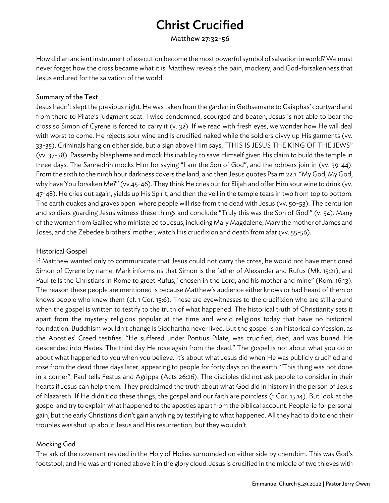# Christ Crucified

Matthew 27:32-56

How did an ancient instrument of execution become the most powerful symbol of salvation in world? We must never forget how the cross became what it is. Matthew reveals the pain, mockery, and God-forsakenness that Jesus endured for the salvation of the world.

#### Summary of the Text

Jesus hadn't slept the previous night. He was taken from the garden in Gethsemane to Caiaphas' courtyard and from there to Pilate's judgment seat. Twice condemned, scourged and beaten, Jesus is not able to bear the cross so Simon of Cyrene is forced to carry it (v. 32). If we read with fresh eyes, we wonder how He will deal with worst to come. He rejects sour wine and is crucified naked while the soldiers divvy up His garments (vv. 33-35). Criminals hang on either side, but a sign above Him says, "THIS IS JESUS THE KING OF THE JEWS" (vv. 37-38). Passersby blaspheme and mock His inability to save Himself given His claim to build the temple in three days. The Sanhedrin mocks Him for saying "I am the Son of God", and the robbers join in (vv. 39-44). From the sixth to the ninth hour darkness covers the land, and then Jesus quotes Psalm 22:1: "My God, My God, why have You forsaken Me?"(vv.45-46). They think He cries out for Elijah and offer Him sour wine to drink (vv. 47-48). He cries out again, yields up His Spirit, and then the veil in the temple tears in two from top to bottom. The earth quakes and graves open where people will rise from the dead with Jesus (vv. 50-53). The centurion and soldiers guarding Jesus witness these things and conclude "Truly this was the Son of God!" (v. 54). Many of the women from Galilee who ministered to Jesus, including Mary Magdalene, Mary the mother of James and Joses, and the Zebedee brothers' mother, watch His crucifixion and death from afar (vv. 55-56).

### Historical Gospel

If Matthew wanted only to communicate that Jesus could not carry the cross, he would not have mentioned Simon of Cyrene by name. Mark informs us that Simon is the father of Alexander and Rufus (Mk. 15:21), and Paul tells the Christians in Rome to greet Rufus, "chosen in the Lord, and his mother and mine" (Rom. 16:13). The reason these people are mentioned is because Matthew's audience either knows or had heard of them or knows people who knew them (cf. 1 Cor. 15:6). These are eyewitnesses to the crucifixion who are still around when the gospel is written to testify to the truth of what happened. The historical truth of Christianity sets it apart from the mystery religions popular at the time and world religions today that have no historical foundation. Buddhism wouldn't change is Siddhartha never lived. But the gospel is an historical confession, as the Apostles' Creed testifies: "He suffered under Pontius Pilate, was crucified, died, and was buried. He descended into Hades. The third day He rose again from the dead." The gospel is not about what you do or about what happened to you when you believe. It's about what Jesus did when He was publicly crucified and rose from the dead three days later, appearing to people for forty days on the earth. "This thing was not done in a corner", Paul tells Festus and Agrippa (Acts 26:26). The disciples did not ask people to consider in their hearts if Jesus can help them. They proclaimed the truth about what God did in history in the person of Jesus of Nazareth. If He didn't do these things, the gospel and our faith are pointless (1 Cor. 15:14). But look at the gospel and try to explain what happened to the apostles apart from the biblical account. People lie for personal gain, but the early Christians didn't gain anything by testifying to what happened. All they had to do to end their troubles was shut up about Jesus and His resurrection, but they wouldn't.

## Mocking God

The ark of the covenant resided in the Holy of Holies surrounded on either side by cherubim. This was God's footstool, and He was enthroned above it in the glory cloud. Jesus is crucified in the middle of two thieves with